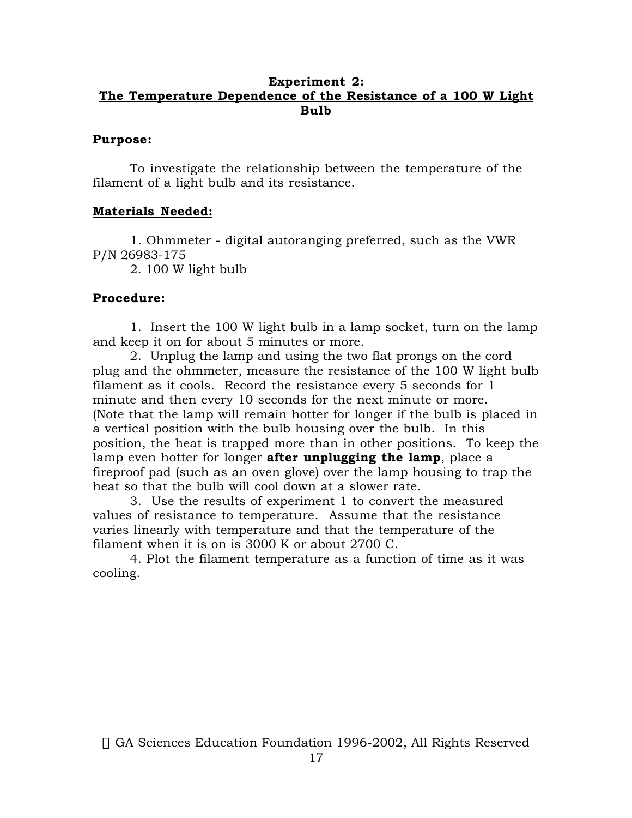# **Experiment 2: The Temperature Dependence of the Resistance of a 100 W Light Bulb**

#### **Purpose:**

To investigate the relationship between the temperature of the filament of a light bulb and its resistance.

## **Materials Needed:**

1. Ohmmeter - digital autoranging preferred, such as the VWR P/N 26983-175

2. 100 W light bulb

## **Procedure:**

1. Insert the 100 W light bulb in a lamp socket, turn on the lamp and keep it on for about 5 minutes or more.

2. Unplug the lamp and using the two flat prongs on the cord plug and the ohmmeter, measure the resistance of the 100 W light bulb filament as it cools. Record the resistance every 5 seconds for 1 minute and then every 10 seconds for the next minute or more. (Note that the lamp will remain hotter for longer if the bulb is placed in a vertical position with the bulb housing over the bulb. In this position, the heat is trapped more than in other positions. To keep the lamp even hotter for longer **after unplugging the lamp**, place a fireproof pad (such as an oven glove) over the lamp housing to trap the heat so that the bulb will cool down at a slower rate.

3. Use the results of experiment 1 to convert the measured values of resistance to temperature. Assume that the resistance varies linearly with temperature and that the temperature of the filament when it is on is 3000 K or about 2700 C.

4. Plot the filament temperature as a function of time as it was cooling.